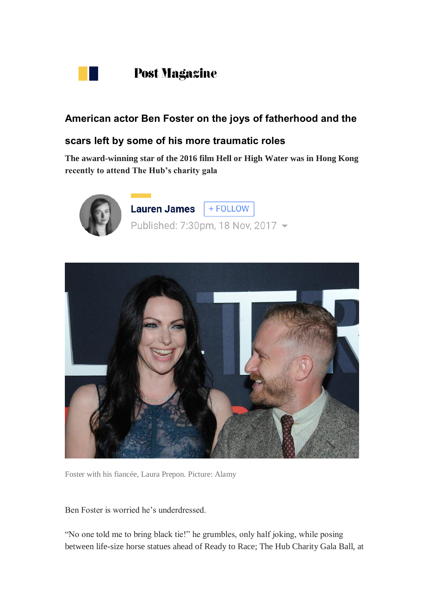

## **American actor Ben Foster on the joys of fatherhood and the**

## **scars left by some of his more traumatic roles**

**The award-winning star of the 2016 film Hell or High Water was in Hong Kong recently to attend The Hub's charity gala**





Foster with his fiancée, Laura Prepon. Picture: Alamy

Ben Foster is worried he's underdressed.

"No one told me to bring black tie!" he grumbles, only half joking, while posing between life-size horse statues ahead of Ready to Race; The Hub Charity Gala Ball, at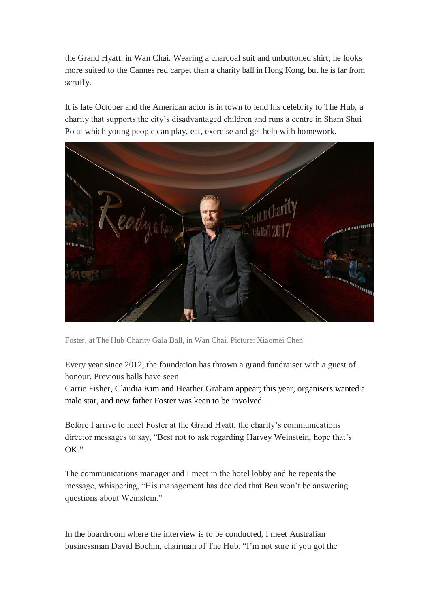the Grand Hyatt, in Wan Chai. Wearing a charcoal suit and unbuttoned shirt, he looks more suited to the Cannes red carpet than a charity ball in Hong Kong, but he is far from scruffy.

It is late October and the American actor is in town to lend his celebrity to The Hub, a charity that supports the city's disadvantaged children and runs a centre in Sham Shui Po at which young people can play, eat, exercise and get help with homework.



Foster, at The Hub Charity Gala Ball, in Wan Chai. Picture: Xiaomei Chen

Every year since 2012, the foundation has thrown a grand fundraiser with a guest of honour. Previous balls have seen

[Carrie Fisher,](http://www.scmp.com/news/hong-kong/article/1646812/carrie-fisher-hong-kong-charity-ball-revels-star-wars-legacy) Claudia Kim and [Heather Graham](http://www.scmp.com/magazines/post-magazine/article/1875574/interview-hollywood-actress-heather-graham-matters-close-her) appear; this year, organisers wanted a male star, and new father Foster was keen to be involved.

Before I arrive to meet Foster at the Grand Hyatt, the charity's communications director messages to say, "Best not to ask regarding [Harvey Weinstein,](http://www.scmp.com/topics/harvey-weinstein) hope that's OK."

The communications manager and I meet in the hotel lobby and he repeats the message, whispering, "His management has decided that Ben won't be answering questions about Weinstein."

In the boardroom where the interview is to be conducted, I meet Australian businessman David Boehm, chairman of The Hub. "I'm not sure if you got the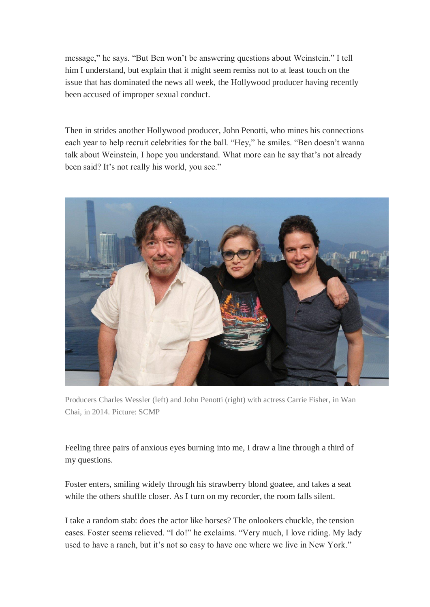message," he says. "But Ben won't be answering questions about Weinstein." I tell him I understand, but explain that it might seem remiss not to at least touch on the issue that has dominated the news all week, the Hollywood producer having recently been accused of improper sexual conduct.

Then in strides another Hollywood producer, John Penotti, who mines his connections each year to help recruit celebrities for the ball. "Hey," he smiles. "Ben doesn't wanna talk about Weinstein, I hope you understand. What more can he say that's not already been said? It's not really his world, you see."



Producers Charles Wessler (left) and John Penotti (right) with actress Carrie Fisher, in Wan Chai, in 2014. Picture: SCMP

Feeling three pairs of anxious eyes burning into me, I draw a line through a third of my questions.

Foster enters, smiling widely through his strawberry blond goatee, and takes a seat while the others shuffle closer. As I turn on my recorder, the room falls silent.

I take a random stab: does the actor like horses? The onlookers chuckle, the tension eases. Foster seems relieved. "I do!" he exclaims. "Very much, I love riding. My lady used to have a ranch, but it's not so easy to have one where we live in New York."